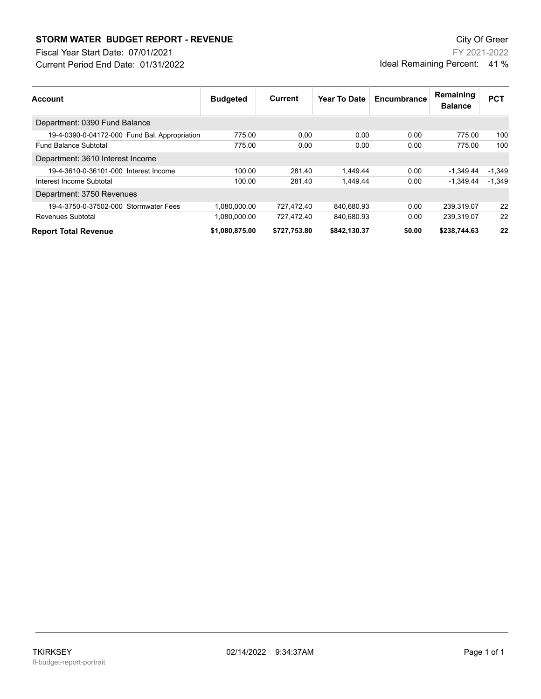## **STORM WATER BUDGET REPORT - REVENUE CONSUMPTER STORM WATER BUDGET REPORT - REVENUE**

Current Period End Date: 01/31/2022 Fiscal Year Start Date: 07/01/2021

FY 2021-2022 Ideal Remaining Percent: 41 %

| <b>Account</b>                                | <b>Budgeted</b> | Current      | Year To Date | Encumbrance | Remaining<br><b>Balance</b> | <b>PCT</b> |
|-----------------------------------------------|-----------------|--------------|--------------|-------------|-----------------------------|------------|
| Department: 0390 Fund Balance                 |                 |              |              |             |                             |            |
| 19-4-0390-0-04172-000 Fund Bal. Appropriation | 775.00          | 0.00         | 0.00         | 0.00        | 775.00                      | 100        |
| <b>Fund Balance Subtotal</b>                  | 775.00          | 0.00         | 0.00         | 0.00        | 775.00                      | 100        |
| Department: 3610 Interest Income              |                 |              |              |             |                             |            |
| 19-4-3610-0-36101-000 Interest Income         | 100.00          | 281.40       | 1.449.44     | 0.00        | $-1.349.44$                 | $-1.349$   |
| Interest Income Subtotal                      | 100.00          | 281.40       | 1.449.44     | 0.00        | $-1.349.44$                 | $-1.349$   |
| Department: 3750 Revenues                     |                 |              |              |             |                             |            |
| 19-4-3750-0-37502-000 Stormwater Fees         | 1.080.000.00    | 727.472.40   | 840.680.93   | 0.00        | 239.319.07                  | 22         |
| Revenues Subtotal                             | 1.080.000.00    | 727.472.40   | 840,680.93   | 0.00        | 239.319.07                  | 22         |
| <b>Report Total Revenue</b>                   | \$1,080,875.00  | \$727,753.80 | \$842.130.37 | \$0.00      | \$238,744.63                | 22         |